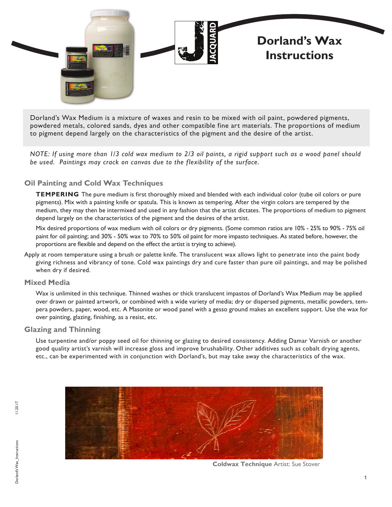

Dorland's Wax Medium is a mixture of waxes and resin to be mixed with oil paint, powdered pigments, powdered metals, colored sands, dyes and other compatible fine art materials. The proportions of medium to pigment depend largely on the characteristics of the pigment and the desire of the artist.

*NOTE: If using more than 1/3 cold wax medium to 2/3 oil paints, a rigid support such as a wood panel should be used. Paintings may crack on canvas due to the flexibility of the surface.*

## **Oil Painting and Cold Wax Techniques**

**TEMPERING** The pure medium is first thoroughly mixed and blended with each individual color (tube oil colors or pure pigments). Mix with a painting knife or spatula. This is known as tempering. After the virgin colors are tempered by the medium, they may then be intermixed and used in any fashion that the artist dictates. The proportions of medium to pigment depend largely on the characteristics of the pigment and the desires of the artist.

Mix desired proportions of wax medium with oil colors or dry pigments. (Some common ratios are 10% - 25% to 90% - 75% oil paint for oil painting; and 30% - 50% wax to 70% to 50% oil paint for more impasto techniques. As stated before, however, the proportions are flexible and depend on the effect the artist is trying to achieve).

Apply at room temperature using a brush or palette knife. The translucent wax allows light to penetrate into the paint body giving richness and vibrancy of tone. Cold wax paintings dry and cure faster than pure oil paintings, and may be polished when dry if desired.

## **Mixed Media**

Wax is unlimited in this technique. Thinned washes or thick translucent impastos of Dorland's Wax Medium may be applied over drawn or painted artwork, or combined with a wide variety of media; dry or dispersed pigments, metallic powders, tempera powders, paper, wood, etc. A Masonite or wood panel with a gesso ground makes an excellent support. Use the wax for over painting, glazing, finishing, as a resist, etc.

## **Glazing and Thinning**

Use turpentine and/or poppy seed oil for thinning or glazing to desired consistency. Adding Damar Varnish or another good quality artist's varnish will increase gloss and improve brushability. Other additives such as cobalt drying agents, etc., can be experimented with in conjunction with Dorland's, but may take away the characteristics of the wax.



**Coldwax Technique** Artist: Sue Stover